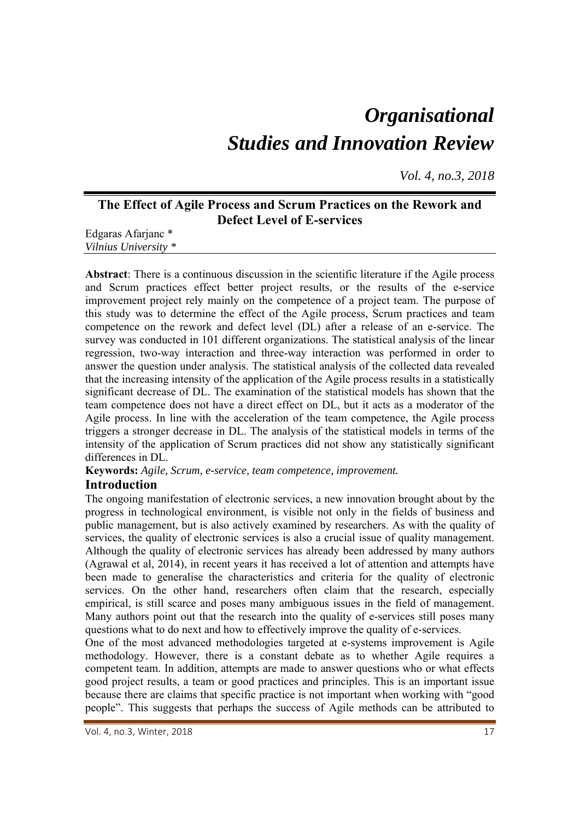# *Organisational Studies and Innovation Review*

*Vol. 4, no.3, 2018*

# **The Effect of Agile Process and Scrum Practices on the Rework and Defect Level of E-services**

Edgaras Afarjanc \* *Vilnius University \** 

**Abstract**: There is a continuous discussion in the scientific literature if the Agile process and Scrum practices effect better project results, or the results of the e-service improvement project rely mainly on the competence of a project team. The purpose of this study was to determine the effect of the Agile process, Scrum practices and team competence on the rework and defect level (DL) after a release of an e-service. The survey was conducted in 101 different organizations. The statistical analysis of the linear regression, two-way interaction and three-way interaction was performed in order to answer the question under analysis. The statistical analysis of the collected data revealed that the increasing intensity of the application of the Agile process results in a statistically significant decrease of DL. The examination of the statistical models has shown that the team competence does not have a direct effect on DL, but it acts as a moderator of the Agile process. In line with the acceleration of the team competence, the Agile process triggers a stronger decrease in DL. The analysis of the statistical models in terms of the intensity of the application of Scrum practices did not show any statistically significant differences in DL.

**Keywords:** *Agile, Scrum, e-service, team competence, improvement.* 

# **Introduction**

The ongoing manifestation of electronic services, a new innovation brought about by the progress in technological environment, is visible not only in the fields of business and public management, but is also actively examined by researchers. As with the quality of services, the quality of electronic services is also a crucial issue of quality management. Although the quality of electronic services has already been addressed by many authors (Agrawal et al, 2014), in recent years it has received a lot of attention and attempts have been made to generalise the characteristics and criteria for the quality of electronic services. On the other hand, researchers often claim that the research, especially empirical, is still scarce and poses many ambiguous issues in the field of management. Many authors point out that the research into the quality of e-services still poses many questions what to do next and how to effectively improve the quality of e-services.

One of the most advanced methodologies targeted at e-systems improvement is Agile methodology. However, there is a constant debate as to whether Agile requires a competent team. In addition, attempts are made to answer questions who or what effects good project results, a team or good practices and principles. This is an important issue because there are claims that specific practice is not important when working with "good people". This suggests that perhaps the success of Agile methods can be attributed to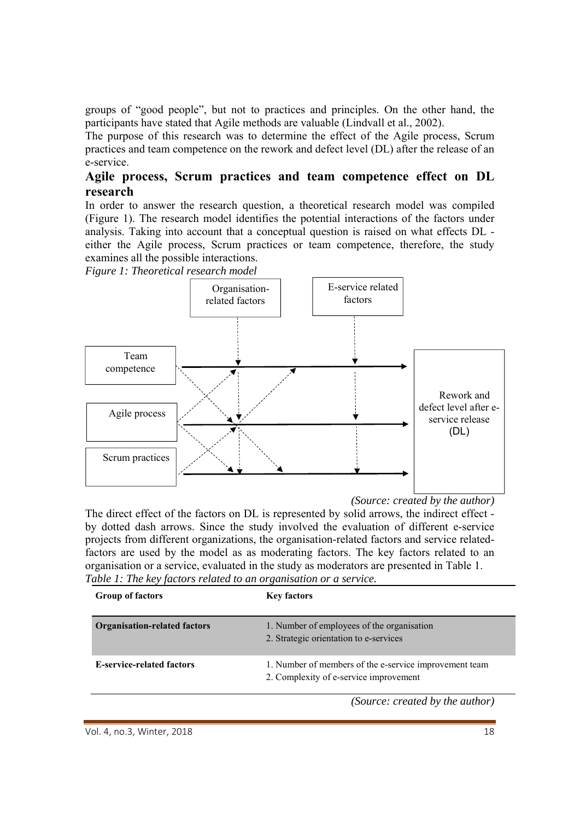groups of "good people", but not to practices and principles. On the other hand, the participants have stated that Agile methods are valuable (Lindvall et al., 2002).

The purpose of this research was to determine the effect of the Agile process, Scrum practices and team competence on the rework and defect level (DL) after the release of an e-service.

## **Agile process, Scrum practices and team competence effect on DL research**

In order to answer the research question, a theoretical research model was compiled (Figure 1). The research model identifies the potential interactions of the factors under analysis. Taking into account that a conceptual question is raised on what effects DL either the Agile process, Scrum practices or team competence, therefore, the study examines all the possible interactions.

*Figure 1: Theoretical research model* 



*<sup>(</sup>Source: created by the author)* 

The direct effect of the factors on DL is represented by solid arrows, the indirect effect by dotted dash arrows. Since the study involved the evaluation of different e-service projects from different organizations, the organisation-related factors and service relatedfactors are used by the model as as moderating factors. The key factors related to an organisation or a service, evaluated in the study as moderators are presented in Table 1. *Table 1: The key factors related to an organisation or a service.* 

| <b>Group of factors</b>             | <b>Key factors</b>                                                                               |
|-------------------------------------|--------------------------------------------------------------------------------------------------|
| <b>Organisation-related factors</b> | 1. Number of employees of the organisation<br>2. Strategic orientation to e-services             |
| <b>E-service-related factors</b>    | 1. Number of members of the e-service improvement team<br>2. Complexity of e-service improvement |
|                                     | (Source: created by the author)                                                                  |

Vol. 4, no.3, Winter, 2018 **18**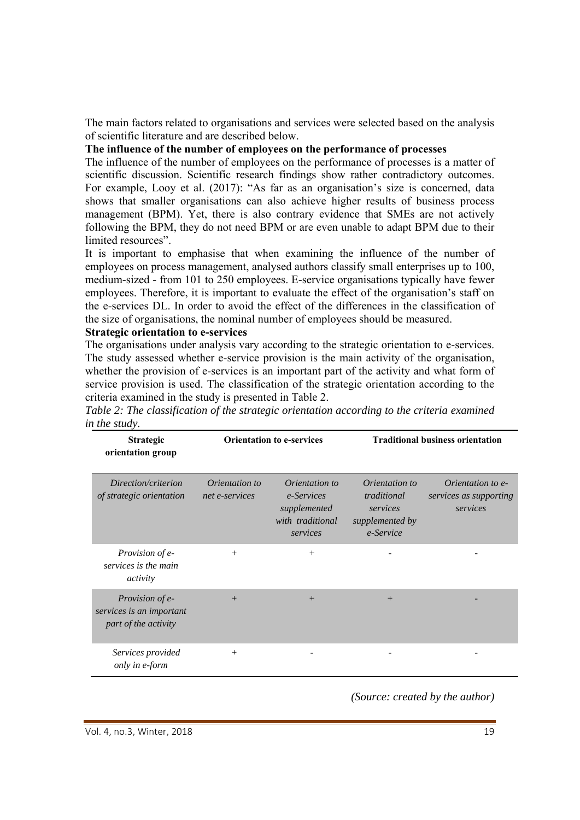The main factors related to organisations and services were selected based on the analysis of scientific literature and are described below.

#### **The influence of the number of employees on the performance of processes**

The influence of the number of employees on the performance of processes is a matter of scientific discussion. Scientific research findings show rather contradictory outcomes. For example, Looy et al. (2017): "As far as an organisation's size is concerned, data shows that smaller organisations can also achieve higher results of business process management (BPM). Yet, there is also contrary evidence that SMEs are not actively following the BPM, they do not need BPM or are even unable to adapt BPM due to their limited resources".

It is important to emphasise that when examining the influence of the number of employees on process management, analysed authors classify small enterprises up to 100, medium-sized - from 101 to 250 employees. E-service organisations typically have fewer employees. Therefore, it is important to evaluate the effect of the organisation's staff on the e-services DL. In order to avoid the effect of the differences in the classification of the size of organisations, the nominal number of employees should be measured.

#### **Strategic orientation to e-services**

The organisations under analysis vary according to the strategic orientation to e-services. The study assessed whether e-service provision is the main activity of the organisation, whether the provision of e-services is an important part of the activity and what form of service provision is used. The classification of the strategic orientation according to the criteria examined in the study is presented in Table 2.

*Table 2: The classification of the strategic orientation according to the criteria examined in the study.* 

| <b>Strategic</b><br>orientation group                               | <b>Orientation to e-services</b>        |                                                                              | <b>Traditional business orientation</b>                                          |                                                         |  |
|---------------------------------------------------------------------|-----------------------------------------|------------------------------------------------------------------------------|----------------------------------------------------------------------------------|---------------------------------------------------------|--|
| Direction/criterion<br>of strategic orientation                     | <i>Orientation to</i><br>net e-services | Orientation to<br>e-Services<br>supplemented<br>with traditional<br>services | <i>Orientation to</i><br>traditional<br>services<br>supplemented by<br>e-Service | Orientation to e-<br>services as supporting<br>services |  |
| <i>Provision of e-</i><br>services is the main<br>activity          | $^{+}$                                  | $+$                                                                          |                                                                                  |                                                         |  |
| Provision of e-<br>services is an important<br>part of the activity | $+$                                     | $+$                                                                          | $+$                                                                              |                                                         |  |
| Services provided<br>only in e-form                                 | $+$                                     |                                                                              |                                                                                  |                                                         |  |

*(Source: created by the author)*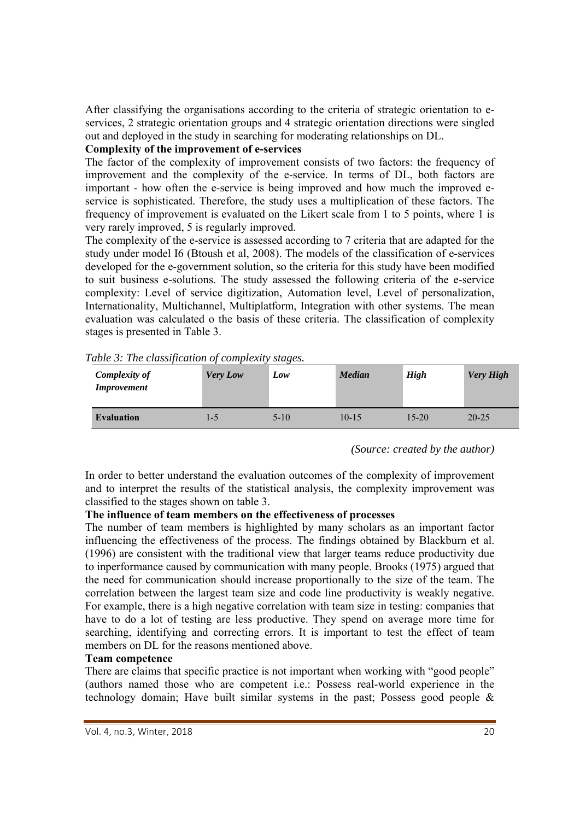After classifying the organisations according to the criteria of strategic orientation to eservices, 2 strategic orientation groups and 4 strategic orientation directions were singled out and deployed in the study in searching for moderating relationships on DL.

## **Complexity of the improvement of e-services**

The factor of the complexity of improvement consists of two factors: the frequency of improvement and the complexity of the e-service. In terms of DL, both factors are important - how often the e-service is being improved and how much the improved eservice is sophisticated. Therefore, the study uses a multiplication of these factors. The frequency of improvement is evaluated on the Likert scale from 1 to 5 points, where 1 is very rarely improved, 5 is regularly improved.

The complexity of the e-service is assessed according to 7 criteria that are adapted for the study under model I6 (Btoush et al, 2008). The models of the classification of e-services developed for the e-government solution, so the criteria for this study have been modified to suit business e-solutions. The study assessed the following criteria of the e-service complexity: Level of service digitization, Automation level, Level of personalization, Internationality, Multichannel, Multiplatform, Integration with other systems. The mean evaluation was calculated o the basis of these criteria. The classification of complexity stages is presented in Table 3.

| <b>Complexity of</b><br><i>Improvement</i> | <b>Very Low</b> | Low      | <b>Median</b> | <b>High</b> | <b>Very High</b> |
|--------------------------------------------|-----------------|----------|---------------|-------------|------------------|
| <b>Evaluation</b>                          | 1-5             | $5 - 10$ | $10-15$       | $15 - 20$   | $20 - 25$        |

*Table 3: The classification of complexity stages.* 

*(Source: created by the author)* 

In order to better understand the evaluation outcomes of the complexity of improvement and to interpret the results of the statistical analysis, the complexity improvement was classified to the stages shown on table 3.

#### **The influence of team members on the effectiveness of processes**

The number of team members is highlighted by many scholars as an important factor influencing the effectiveness of the process. The findings obtained by Blackburn et al. (1996) are consistent with the traditional view that larger teams reduce productivity due to inperformance caused by communication with many people. Brooks (1975) argued that the need for communication should increase proportionally to the size of the team. The correlation between the largest team size and code line productivity is weakly negative. For example, there is a high negative correlation with team size in testing: companies that have to do a lot of testing are less productive. They spend on average more time for searching, identifying and correcting errors. It is important to test the effect of team members on DL for the reasons mentioned above.

#### **Team competence**

There are claims that specific practice is not important when working with "good people" (authors named those who are competent i.e.: Possess real-world experience in the technology domain; Have built similar systems in the past; Possess good people &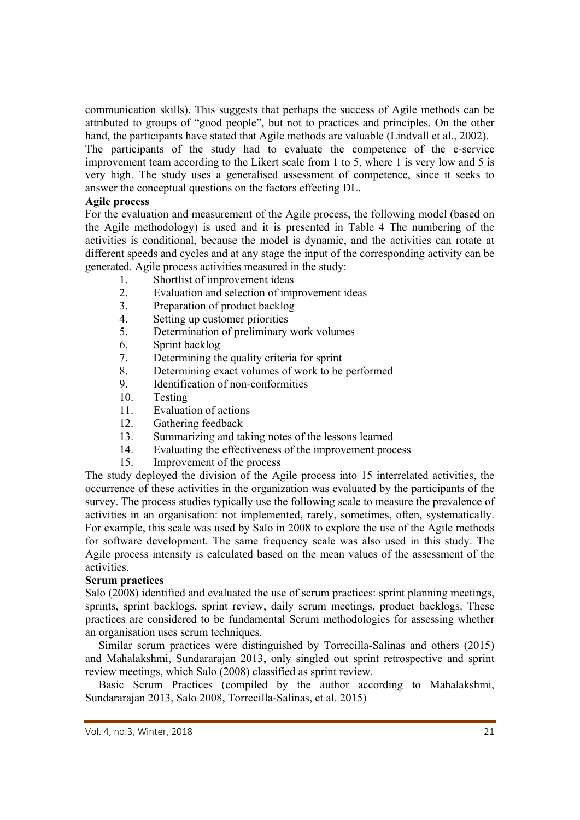communication skills). This suggests that perhaps the success of Agile methods can be attributed to groups of "good people", but not to practices and principles. On the other hand, the participants have stated that Agile methods are valuable (Lindvall et al., 2002). The participants of the study had to evaluate the competence of the e-service improvement team according to the Likert scale from 1 to 5, where 1 is very low and 5 is very high. The study uses a generalised assessment of competence, since it seeks to answer the conceptual questions on the factors effecting DL.

#### **Agile process**

For the evaluation and measurement of the Agile process, the following model (based on the Agile methodology) is used and it is presented in Table 4 The numbering of the activities is conditional, because the model is dynamic, and the activities can rotate at different speeds and cycles and at any stage the input of the corresponding activity can be generated. Agile process activities measured in the study:

- 1. Shortlist of improvement ideas
- 2. Evaluation and selection of improvement ideas
- 3. Preparation of product backlog
- 4. Setting up customer priorities
- 5. Determination of preliminary work volumes
- 6. Sprint backlog
- 7. Determining the quality criteria for sprint
- 8. Determining exact volumes of work to be performed
- 9. Identification of non-conformities
- 10. Testing
- 11. Evaluation of actions
- 12. Gathering feedback
- 13. Summarizing and taking notes of the lessons learned
- 14. Evaluating the effectiveness of the improvement process
- 15. Improvement of the process

The study deployed the division of the Agile process into 15 interrelated activities, the occurrence of these activities in the organization was evaluated by the participants of the survey. The process studies typically use the following scale to measure the prevalence of activities in an organisation: not implemented, rarely, sometimes, often, systematically. For example, this scale was used by Salo in 2008 to explore the use of the Agile methods for software development. The same frequency scale was also used in this study. The Agile process intensity is calculated based on the mean values of the assessment of the activities.

#### **Scrum practices**

Salo (2008) identified and evaluated the use of scrum practices: sprint planning meetings, sprints, sprint backlogs, sprint review, daily scrum meetings, product backlogs. These practices are considered to be fundamental Scrum methodologies for assessing whether an organisation uses scrum techniques.

Similar scrum practices were distinguished by Torrecilla-Salinas and others (2015) and Mahalakshmi, Sundararajan 2013, only singled out sprint retrospective and sprint review meetings, which Salo (2008) classified as sprint review.

Basic Scrum Practices (compiled by the author according to Mahalakshmi, Sundararajan 2013, Salo 2008, Torrecilla-Salinas, et al. 2015)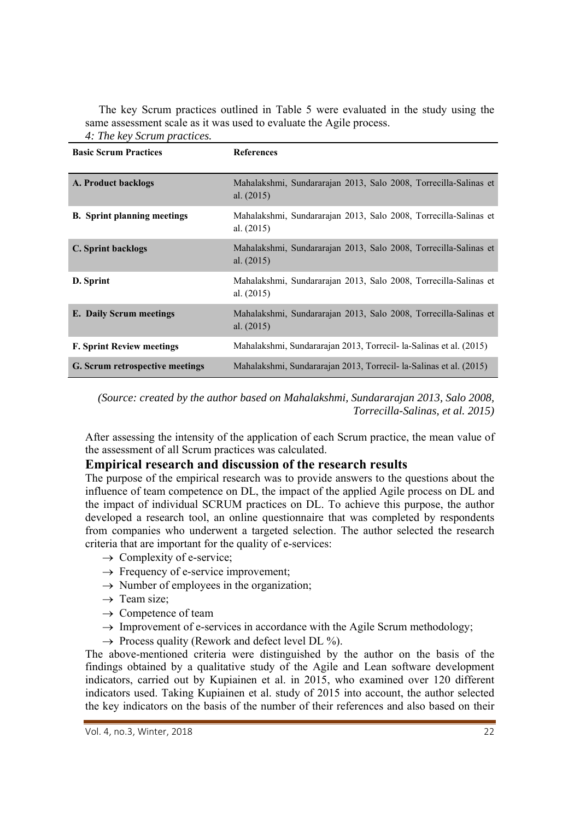The key Scrum practices outlined in Table 5 were evaluated in the study using the same assessment scale as it was used to evaluate the Agile process. *4: The key Scrum practices.* 

| <b>Basic Scrum Practices</b>       | <b>References</b>                                                                |
|------------------------------------|----------------------------------------------------------------------------------|
| A. Product backlogs                | Mahalakshmi, Sundararajan 2013, Salo 2008, Torrecilla-Salinas et<br>al. $(2015)$ |
| <b>B.</b> Sprint planning meetings | Mahalakshmi, Sundararajan 2013, Salo 2008, Torrecilla-Salinas et<br>al. (2015)   |
| <b>C. Sprint backlogs</b>          | Mahalakshmi, Sundararajan 2013, Salo 2008, Torrecilla-Salinas et<br>al. $(2015)$ |
| D. Sprint                          | Mahalakshmi, Sundararajan 2013, Salo 2008, Torrecilla-Salinas et<br>al. $(2015)$ |
| <b>E.</b> Daily Scrum meetings     | Mahalakshmi, Sundararajan 2013, Salo 2008, Torrecilla-Salinas et<br>al. $(2015)$ |
| <b>F. Sprint Review meetings</b>   | Mahalakshmi, Sundararajan 2013, Torrecil- la-Salinas et al. (2015)               |
| G. Scrum retrospective meetings    | Mahalakshmi, Sundararajan 2013, Torrecil- la-Salinas et al. (2015)               |

*(Source: created by the author based on Mahalakshmi, Sundararajan 2013, Salo 2008, Torrecilla-Salinas, et al. 2015)* 

After assessing the intensity of the application of each Scrum practice, the mean value of the assessment of all Scrum practices was calculated.

#### **Empirical research and discussion of the research results**

The purpose of the empirical research was to provide answers to the questions about the influence of team competence on DL, the impact of the applied Agile process on DL and the impact of individual SCRUM practices on DL. To achieve this purpose, the author developed a research tool, an online questionnaire that was completed by respondents from companies who underwent a targeted selection. The author selected the research criteria that are important for the quality of e-services:

- $\rightarrow$  Complexity of e-service;
- $\rightarrow$  Frequency of e-service improvement;
- $\rightarrow$  Number of employees in the organization;
- $\rightarrow$  Team size;
- $\rightarrow$  Competence of team
- $\rightarrow$  Improvement of e-services in accordance with the Agile Scrum methodology;
- $\rightarrow$  Process quality (Rework and defect level DL %).

The above-mentioned criteria were distinguished by the author on the basis of the findings obtained by a qualitative study of the Agile and Lean software development indicators, carried out by Kupiainen et al. in 2015, who examined over 120 different indicators used. Taking Kupiainen et al. study of 2015 into account, the author selected the key indicators on the basis of the number of their references and also based on their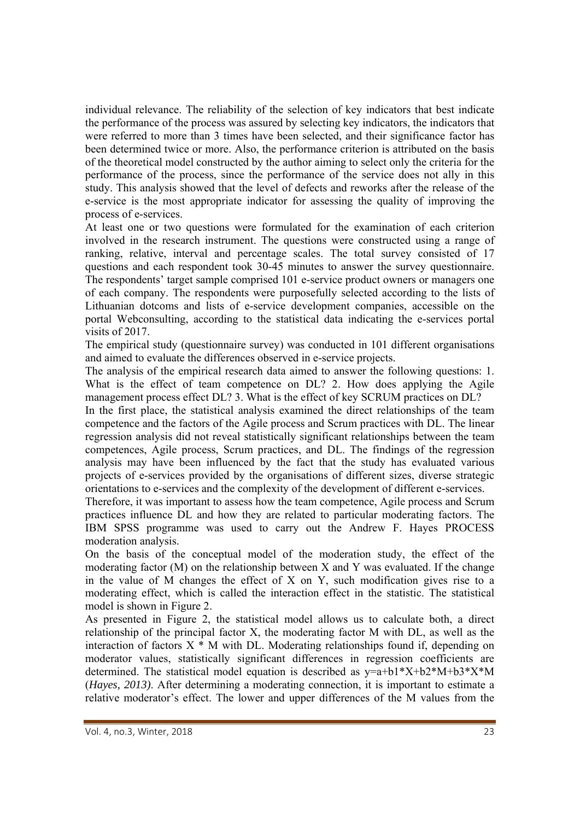individual relevance. The reliability of the selection of key indicators that best indicate the performance of the process was assured by selecting key indicators, the indicators that were referred to more than 3 times have been selected, and their significance factor has been determined twice or more. Also, the performance criterion is attributed on the basis of the theoretical model constructed by the author aiming to select only the criteria for the performance of the process, since the performance of the service does not ally in this study. This analysis showed that the level of defects and reworks after the release of the e-service is the most appropriate indicator for assessing the quality of improving the process of e-services.

At least one or two questions were formulated for the examination of each criterion involved in the research instrument. The questions were constructed using a range of ranking, relative, interval and percentage scales. The total survey consisted of 17 questions and each respondent took 30-45 minutes to answer the survey questionnaire. The respondents' target sample comprised 101 e-service product owners or managers one of each company. The respondents were purposefully selected according to the lists of Lithuanian dotcoms and lists of e-service development companies, accessible on the portal Webconsulting, according to the statistical data indicating the e-services portal visits of 2017.

The empirical study (questionnaire survey) was conducted in 101 different organisations and aimed to evaluate the differences observed in e-service projects.

The analysis of the empirical research data aimed to answer the following questions: 1. What is the effect of team competence on DL? 2. How does applying the Agile management process effect DL? 3. What is the effect of key SCRUM practices on DL?

In the first place, the statistical analysis examined the direct relationships of the team competence and the factors of the Agile process and Scrum practices with DL. The linear regression analysis did not reveal statistically significant relationships between the team competences, Agile process, Scrum practices, and DL. The findings of the regression analysis may have been influenced by the fact that the study has evaluated various projects of e-services provided by the organisations of different sizes, diverse strategic orientations to e-services and the complexity of the development of different e-services.

Therefore, it was important to assess how the team competence, Agile process and Scrum practices influence DL and how they are related to particular moderating factors. The IBM SPSS programme was used to carry out the Andrew F. Hayes PROCESS moderation analysis.

On the basis of the conceptual model of the moderation study, the effect of the moderating factor (M) on the relationship between X and Y was evaluated. If the change in the value of M changes the effect of X on Y, such modification gives rise to a moderating effect, which is called the interaction effect in the statistic. The statistical model is shown in Figure 2.

As presented in Figure 2, the statistical model allows us to calculate both, a direct relationship of the principal factor X, the moderating factor M with DL, as well as the interaction of factors  $X * M$  with DL. Moderating relationships found if, depending on moderator values, statistically significant differences in regression coefficients are determined. The statistical model equation is described as  $y=a+b1*X+b2*M+b3*X*M$ (*Hayes, 2013)*. After determining a moderating connection, it is important to estimate a relative moderator's effect. The lower and upper differences of the M values from the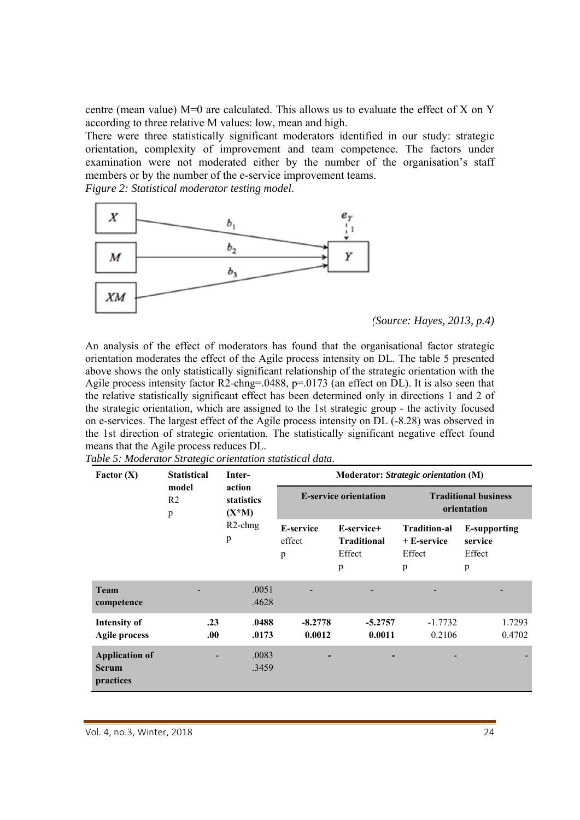centre (mean value)  $M=0$  are calculated. This allows us to evaluate the effect of X on Y according to three relative M values: low, mean and high.

There were three statistically significant moderators identified in our study: strategic orientation, complexity of improvement and team competence. The factors under examination were not moderated either by the number of the organisation's staff members or by the number of the e-service improvement teams.

*Figure 2: Statistical moderator testing model.* 



*(Source: Hayes, 2013, p.4)* 

An analysis of the effect of moderators has found that the organisational factor strategic orientation moderates the effect of the Agile process intensity on DL. The table 5 presented above shows the only statistically significant relationship of the strategic orientation with the Agile process intensity factor R2-chng=.0488, p=.0173 (an effect on DL). It is also seen that the relative statistically significant effect has been determined only in directions 1 and 2 of the strategic orientation, which are assigned to the 1st strategic group - the activity focused on e-services. The largest effect of the Agile process intensity on DL (-8.28) was observed in the 1st direction of strategic orientation. The statistically significant negative effect found means that the Agile process reduces DL.

| Factor $(X)$                                       | <b>Statistical</b>           | Inter-                           | Moderator: Strategic orientation (M) |                                                 |                                                      |                                               |  |  |
|----------------------------------------------------|------------------------------|----------------------------------|--------------------------------------|-------------------------------------------------|------------------------------------------------------|-----------------------------------------------|--|--|
|                                                    | model<br>R <sub>2</sub><br>p | action<br>statistics<br>$(X^*M)$ |                                      | <b>E-service orientation</b>                    | <b>Traditional business</b><br>orientation           |                                               |  |  |
|                                                    |                              | $R2$ -chng<br>p                  | <b>E-service</b><br>effect<br>p      | E-service+<br><b>Traditional</b><br>Effect<br>p | <b>Tradition-al</b><br>$+ E$ -service<br>Effect<br>p | <b>E-supporting</b><br>service<br>Effect<br>p |  |  |
| <b>Team</b><br>competence                          |                              | .0051<br>.4628                   |                                      |                                                 |                                                      |                                               |  |  |
| <b>Intensity of</b><br><b>Agile process</b>        | .23<br>00.                   | .0488<br>.0173                   | $-8.2778$<br>0.0012                  | $-5.2757$<br>0.0011                             | $-1.7732$<br>0.2106                                  | 1.7293<br>0.4702                              |  |  |
| <b>Application of</b><br><b>Scrum</b><br>practices |                              | .0083<br>.3459                   |                                      |                                                 |                                                      |                                               |  |  |

*Table 5: Moderator Strategic orientation statistical data.*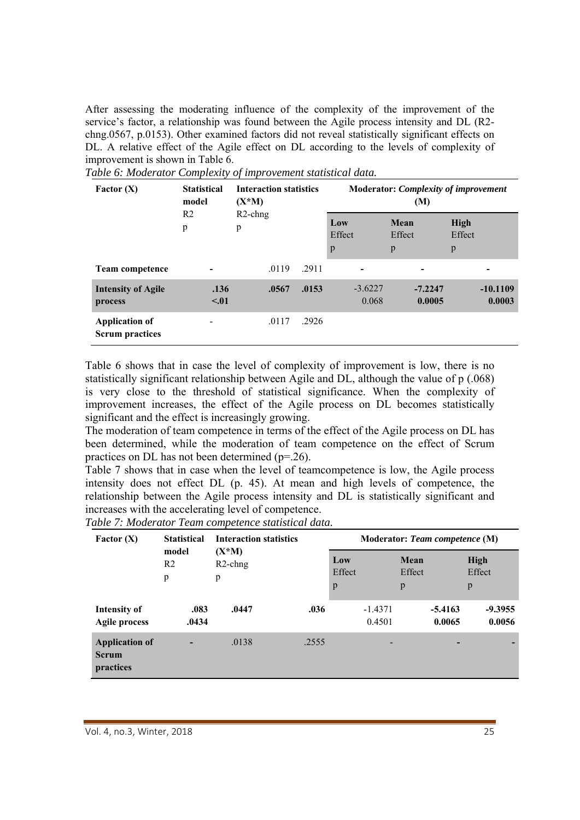After assessing the moderating influence of the complexity of the improvement of the service's factor, a relationship was found between the Agile process intensity and DL (R2 chng.0567, p.0153). Other examined factors did not reveal statistically significant effects on DL. A relative effect of the Agile effect on DL according to the levels of complexity of improvement is shown in Table 6.

| Factor $(X)$                                    | <b>Statistical</b><br>model | <b>Interaction statistics</b><br>$(X^*M)$ |       |                    | (M)                 | <b>Moderator: Complexity of improvement</b> |
|-------------------------------------------------|-----------------------------|-------------------------------------------|-------|--------------------|---------------------|---------------------------------------------|
|                                                 | R <sub>2</sub><br>p         | $R2$ -chng<br>p                           |       | Low<br>Effect<br>p | Mean<br>Effect<br>p | <b>High</b><br>Effect<br>p                  |
| <b>Team competence</b>                          |                             | .0119                                     | .2911 |                    |                     |                                             |
| <b>Intensity of Agile</b><br>process            | .136<br>$\leq 0.01$         | .0567                                     | .0153 | $-3.6227$<br>0.068 | $-7.2247$<br>0.0005 | $-10.1109$<br>0.0003                        |
| <b>Application of</b><br><b>Scrum practices</b> |                             | .0117                                     | .2926 |                    |                     |                                             |

*Table 6: Moderator Complexity of improvement statistical data.* 

Table 6 shows that in case the level of complexity of improvement is low, there is no statistically significant relationship between Agile and DL, although the value of p (.068) is very close to the threshold of statistical significance. When the complexity of improvement increases, the effect of the Agile process on DL becomes statistically significant and the effect is increasingly growing.

The moderation of team competence in terms of the effect of the Agile process on DL has been determined, while the moderation of team competence on the effect of Scrum practices on DL has not been determined (p=.26).

Table 7 shows that in case when the level of teamcompetence is low, the Agile process intensity does not effect DL (p. 45). At mean and high levels of competence, the relationship between the Agile process intensity and DL is statistically significant and increases with the accelerating level of competence.

| Factor $(X)$                                       | <b>Statistical</b>           | <b>Interaction statistics</b> |       |                    |                     |                     |                     | Moderator: Team competence (M) |
|----------------------------------------------------|------------------------------|-------------------------------|-------|--------------------|---------------------|---------------------|---------------------|--------------------------------|
|                                                    | model<br>R <sub>2</sub><br>p | $(X^*M)$<br>$R2$ -chng<br>p   |       | Low<br>Effect<br>p |                     | Mean<br>Effect<br>p |                     | High<br>Effect<br>p            |
| <b>Intensity of</b><br><b>Agile process</b>        | .083<br>.0434                | .0447                         | .036  |                    | $-1.4371$<br>0.4501 |                     | $-5.4163$<br>0.0065 | $-9.3955$<br>0.0056            |
| <b>Application of</b><br><b>Scrum</b><br>practices |                              | .0138                         | .2555 |                    |                     |                     |                     |                                |

*Table 7: Moderator Team competence statistical data.*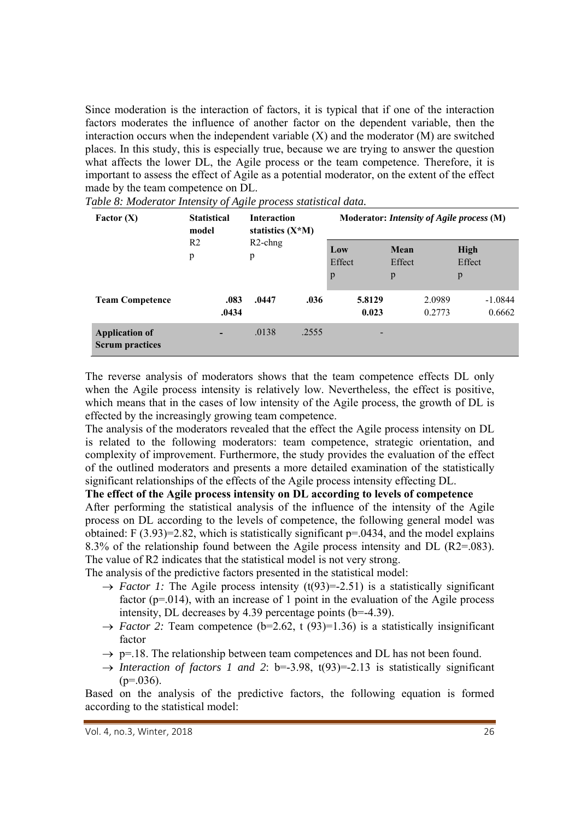Since moderation is the interaction of factors, it is typical that if one of the interaction factors moderates the influence of another factor on the dependent variable, then the interaction occurs when the independent variable  $(X)$  and the moderator  $(M)$  are switched places. In this study, this is especially true, because we are trying to answer the question what affects the lower DL, the Agile process or the team competence. Therefore, it is important to assess the effect of Agile as a potential moderator, on the extent of the effect made by the team competence on DL.

| Factor $(X)$                                    | <b>Statistical</b><br>model | <b>Interaction</b><br>statistics $(X^*M)$ |       |                 | Moderator: Intensity of Agile process (M) |                       |
|-------------------------------------------------|-----------------------------|-------------------------------------------|-------|-----------------|-------------------------------------------|-----------------------|
|                                                 | R <sub>2</sub><br>p         | $R2$ -chng<br>p                           |       | Low<br>Effect   | Mean<br>Effect                            | <b>High</b><br>Effect |
|                                                 |                             |                                           |       | p               | p                                         | p                     |
| <b>Team Competence</b>                          | .083<br>.0434               | .0447                                     | .036  | 5.8129<br>0.023 | 2.0989<br>0.2773                          | $-1.0844$<br>0.6662   |
| <b>Application of</b><br><b>Scrum practices</b> |                             | .0138                                     | .2555 |                 |                                           |                       |

*Table 8: Moderator Intensity of Agile process statistical data.* 

The reverse analysis of moderators shows that the team competence effects DL only when the Agile process intensity is relatively low. Nevertheless, the effect is positive, which means that in the cases of low intensity of the Agile process, the growth of DL is effected by the increasingly growing team competence.

The analysis of the moderators revealed that the effect the Agile process intensity on DL is related to the following moderators: team competence, strategic orientation, and complexity of improvement. Furthermore, the study provides the evaluation of the effect of the outlined moderators and presents a more detailed examination of the statistically significant relationships of the effects of the Agile process intensity effecting DL.

#### **The effect of the Agile process intensity on DL according to levels of competence**

After performing the statistical analysis of the influence of the intensity of the Agile process on DL according to the levels of competence, the following general model was obtained: F  $(3.93)=2.82$ , which is statistically significant  $p=0.0434$ , and the model explains 8.3% of the relationship found between the Agile process intensity and DL (R2=.083). The value of R2 indicates that the statistical model is not very strong.

The analysis of the predictive factors presented in the statistical model:

- $\rightarrow$  *Factor 1:* The Agile process intensity (t(93)=-2.51) is a statistically significant factor ( $p=014$ ), with an increase of 1 point in the evaluation of the Agile process intensity, DL decreases by 4.39 percentage points  $(b=4.39)$ .
- $\rightarrow$  *Factor 2:* Team competence (b=2.62, t (93)=1.36) is a statistically insignificant factor
- $\rightarrow$  p=.18. The relationship between team competences and DL has not been found.
- $\rightarrow$  *Interaction of factors 1 and 2*: b=-3.98, t(93)=-2.13 is statistically significant  $(p=0.036)$ .

Based on the analysis of the predictive factors, the following equation is formed according to the statistical model:

Vol. 4, no.3, Winter, 2018 26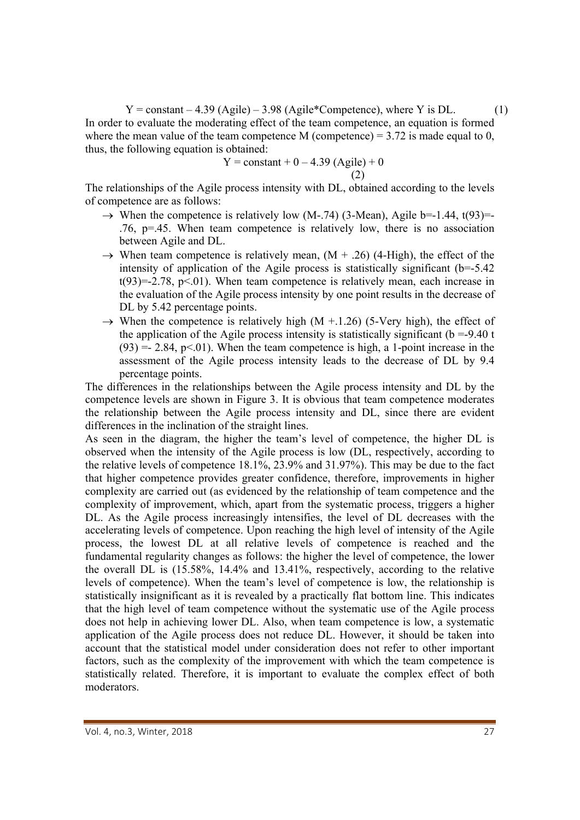$Y = constant - 4.39$  (Agile) – 3.98 (Agile\*Competence), where Y is DL. (1) In order to evaluate the moderating effect of the team competence, an equation is formed where the mean value of the team competence M (competence) =  $3.72$  is made equal to 0, thus, the following equation is obtained:

Y = constant + 0 – 4.39 (Agile) + 0 (2)

The relationships of the Agile process intensity with DL, obtained according to the levels of competence are as follows:

- $\rightarrow$  When the competence is relatively low (M-.74) (3-Mean), Agile b=-1.44, t(93)=-.76, p=.45. When team competence is relatively low, there is no association between Agile and DL.
- $\rightarrow$  When team competence is relatively mean,  $(M + .26)$  (4-High), the effect of the intensity of application of the Agile process is statistically significant  $(b=5.42)$  $t(93)=2.78$ ,  $p<.01$ ). When team competence is relatively mean, each increase in the evaluation of the Agile process intensity by one point results in the decrease of DL by 5.42 percentage points.
- $\rightarrow$  When the competence is relatively high (M +.1.26) (5-Very high), the effect of the application of the Agile process intensity is statistically significant ( $b = -9.40$  t  $(93) = 2.84$ ,  $p \le 01$ ). When the team competence is high, a 1-point increase in the assessment of the Agile process intensity leads to the decrease of DL by 9.4 percentage points.

The differences in the relationships between the Agile process intensity and DL by the competence levels are shown in Figure 3. It is obvious that team competence moderates the relationship between the Agile process intensity and DL, since there are evident differences in the inclination of the straight lines.

As seen in the diagram, the higher the team's level of competence, the higher DL is observed when the intensity of the Agile process is low (DL, respectively, according to the relative levels of competence 18.1%, 23.9% and 31.97%). This may be due to the fact that higher competence provides greater confidence, therefore, improvements in higher complexity are carried out (as evidenced by the relationship of team competence and the complexity of improvement, which, apart from the systematic process, triggers a higher DL. As the Agile process increasingly intensifies, the level of DL decreases with the accelerating levels of competence. Upon reaching the high level of intensity of the Agile process, the lowest DL at all relative levels of competence is reached and the fundamental regularity changes as follows: the higher the level of competence, the lower the overall DL is (15.58%, 14.4% and 13.41%, respectively, according to the relative levels of competence). When the team's level of competence is low, the relationship is statistically insignificant as it is revealed by a practically flat bottom line. This indicates that the high level of team competence without the systematic use of the Agile process does not help in achieving lower DL. Also, when team competence is low, a systematic application of the Agile process does not reduce DL. However, it should be taken into account that the statistical model under consideration does not refer to other important factors, such as the complexity of the improvement with which the team competence is statistically related. Therefore, it is important to evaluate the complex effect of both moderators.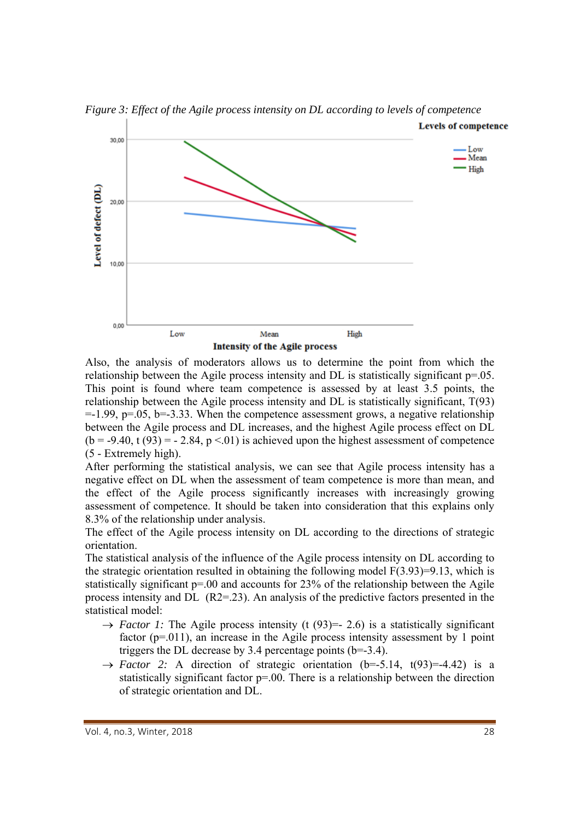

*Figure 3: Effect of the Agile process intensity on DL according to levels of competence* 

Also, the analysis of moderators allows us to determine the point from which the relationship between the Agile process intensity and DL is statistically significant p=.05. This point is found where team competence is assessed by at least 3.5 points, the relationship between the Agile process intensity and DL is statistically significant, T(93)  $=$  1.99, p=.05, b= $-3.33$ . When the competence assessment grows, a negative relationship between the Agile process and DL increases, and the highest Agile process effect on DL  $(b = -9.40, t(93) = -2.84, p < 0.01$  is achieved upon the highest assessment of competence (5 - Extremely high).

After performing the statistical analysis, we can see that Agile process intensity has a negative effect on DL when the assessment of team competence is more than mean, and the effect of the Agile process significantly increases with increasingly growing assessment of competence. It should be taken into consideration that this explains only 8.3% of the relationship under analysis.

The effect of the Agile process intensity on DL according to the directions of strategic orientation.

The statistical analysis of the influence of the Agile process intensity on DL according to the strategic orientation resulted in obtaining the following model  $F(3.93)=9.13$ , which is statistically significant p=.00 and accounts for 23% of the relationship between the Agile process intensity and DL (R2=.23). An analysis of the predictive factors presented in the statistical model:

- $\rightarrow$  *Factor 1:* The Agile process intensity (t (93) = 2.6) is a statistically significant factor  $(p=011)$ , an increase in the Agile process intensity assessment by 1 point triggers the DL decrease by 3.4 percentage points  $(b=3.4)$ .
- $\rightarrow$  *Factor 2:* A direction of strategic orientation (b=-5.14, t(93)=-4.42) is a statistically significant factor p=.00. There is a relationship between the direction of strategic orientation and DL.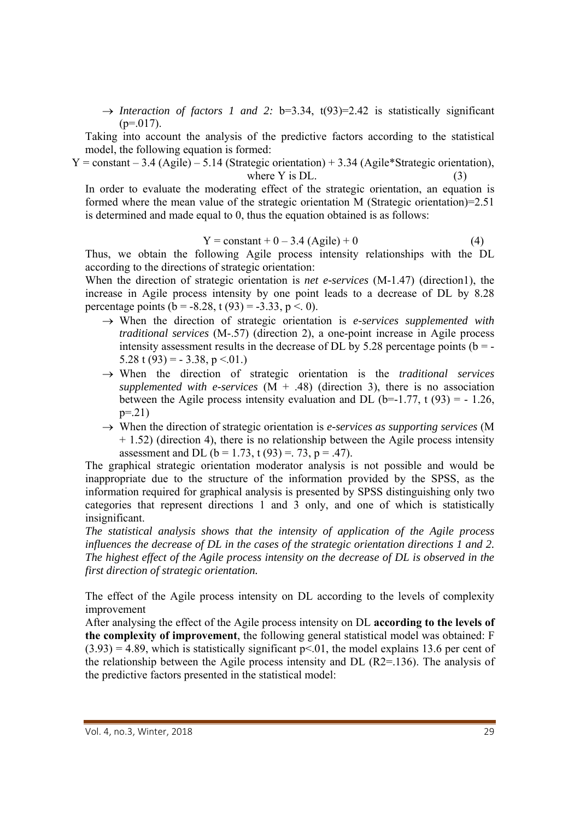$\rightarrow$  *Interaction of factors 1 and 2:* b=3.34, t(93)=2.42 is statistically significant  $(p=0.017)$ .

Taking into account the analysis of the predictive factors according to the statistical model, the following equation is formed:

 $Y = constant - 3.4$  (Agile) – 5.14 (Strategic orientation) + 3.34 (Agile\*Strategic orientation), where  $Y$  is DL.  $(3)$ 

In order to evaluate the moderating effect of the strategic orientation, an equation is formed where the mean value of the strategic orientation M (Strategic orientation)=2.51 is determined and made equal to 0, thus the equation obtained is as follows:

$$
Y = constant + 0 - 3.4 (Agile) + 0
$$
 (4)

Thus, we obtain the following Agile process intensity relationships with the DL according to the directions of strategic orientation:

When the direction of strategic orientation is *net e-services* (M-1.47) (direction1), the increase in Agile process intensity by one point leads to a decrease of DL by 8.28 percentage points ( $b = -8.28$ , t (93) =  $-3.33$ , p < 0).

- $\rightarrow$  When the direction of strategic orientation is *e-services supplemented with traditional services* (M-.57) (direction 2), a one-point increase in Agile process intensity assessment results in the decrease of DL by 5.28 percentage points ( $b = 5.28 \text{ t } (93) = -3.38, \text{ p} < 0.01.$
- When the direction of strategic orientation is the *traditional services supplemented with e-services*  $(M + .48)$  (direction 3), there is no association between the Agile process intensity evaluation and DL (b=-1.77, t (93) = -1.26,  $p=.21)$
- When the direction of strategic orientation is *e-services as supporting services* (M  $+ 1.52$ ) (direction 4), there is no relationship between the Agile process intensity assessment and DL ( $b = 1.73$ ,  $t(93) = 0.73$ ,  $p = 0.47$ ).

The graphical strategic orientation moderator analysis is not possible and would be inappropriate due to the structure of the information provided by the SPSS, as the information required for graphical analysis is presented by SPSS distinguishing only two categories that represent directions 1 and 3 only, and one of which is statistically insignificant.

*The statistical analysis shows that the intensity of application of the Agile process influences the decrease of DL in the cases of the strategic orientation directions 1 and 2. The highest effect of the Agile process intensity on the decrease of DL is observed in the first direction of strategic orientation.* 

The effect of the Agile process intensity on DL according to the levels of complexity improvement

After analysing the effect of the Agile process intensity on DL **according to the levels of the complexity of improvement**, the following general statistical model was obtained: F  $(3.93) = 4.89$ , which is statistically significant  $p \le 01$ , the model explains 13.6 per cent of the relationship between the Agile process intensity and DL (R2=.136). The analysis of the predictive factors presented in the statistical model: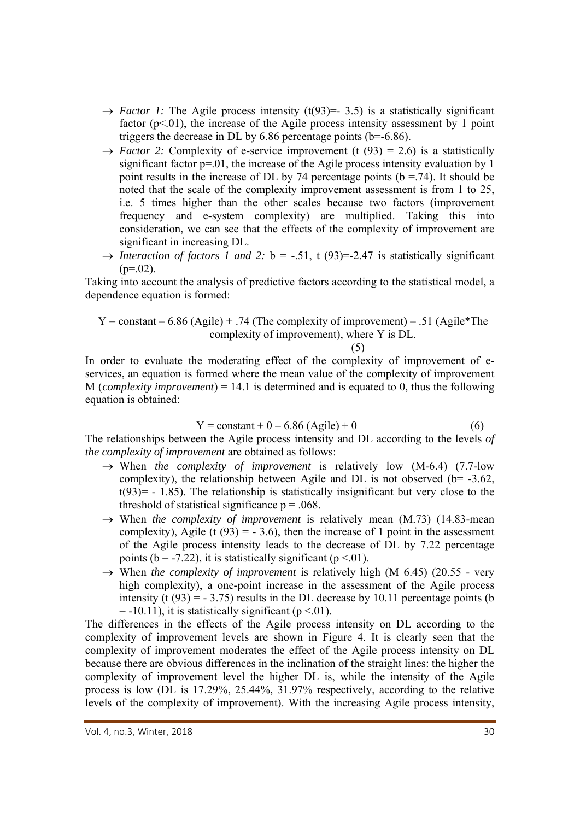- $\rightarrow$  *Factor 1:* The Agile process intensity (t(93)=- 3.5) is a statistically significant factor ( $p<01$ ), the increase of the Agile process intensity assessment by 1 point triggers the decrease in DL by  $6.86$  percentage points (b=-6.86).
- $\rightarrow$  *Factor 2:* Complexity of e-service improvement (t (93) = 2.6) is a statistically significant factor  $p=01$ , the increase of the Agile process intensity evaluation by 1 point results in the increase of DL by 74 percentage points ( $b = .74$ ). It should be noted that the scale of the complexity improvement assessment is from 1 to 25, i.e. 5 times higher than the other scales because two factors (improvement frequency and e-system complexity) are multiplied. Taking this into consideration, we can see that the effects of the complexity of improvement are significant in increasing DL.
- $\rightarrow$  *Interaction of factors 1 and 2:* b = -.51, t (93)=-2.47 is statistically significant  $(p=.02)$ .

Taking into account the analysis of predictive factors according to the statistical model, a dependence equation is formed:

$$
Y = \text{constant} - 6.86 \text{ (Agile)} + .74 \text{ (The complexity of improvement)} - .51 \text{ (Agile*The complexity of improvement), where Y is DL.}
$$

(5)

In order to evaluate the moderating effect of the complexity of improvement of eservices, an equation is formed where the mean value of the complexity of improvement M (*complexity improvement*) = 14.1 is determined and is equated to 0, thus the following equation is obtained:

$$
Y = constant + 0 - 6.86 \text{ (Agile)} + 0 \tag{6}
$$

The relationships between the Agile process intensity and DL according to the levels *of the complexity of improvement* are obtained as follows:

- $\rightarrow$  When *the complexity of improvement* is relatively low (M-6.4) (7.7-low complexity), the relationship between Agile and DL is not observed ( $b = -3.62$ ,  $t(93)$  = - 1.85). The relationship is statistically insignificant but very close to the threshold of statistical significance  $p = .068$ .
- $\rightarrow$  When *the complexity of improvement* is relatively mean (M.73) (14.83-mean complexity), Agile (t  $(93) = -3.6$ ), then the increase of 1 point in the assessment of the Agile process intensity leads to the decrease of DL by 7.22 percentage points ( $b = -7.22$ ), it is statistically significant ( $p < 01$ ).
- $\rightarrow$  When *the complexity of improvement* is relatively high (M 6.45) (20.55 very high complexity), a one-point increase in the assessment of the Agile process intensity (t  $(93) = -3.75$ ) results in the DL decrease by 10.11 percentage points (b  $= -10.11$ ), it is statistically significant (p <.01).

The differences in the effects of the Agile process intensity on DL according to the complexity of improvement levels are shown in Figure 4. It is clearly seen that the complexity of improvement moderates the effect of the Agile process intensity on DL because there are obvious differences in the inclination of the straight lines: the higher the complexity of improvement level the higher DL is, while the intensity of the Agile process is low (DL is 17.29%, 25.44%, 31.97% respectively, according to the relative levels of the complexity of improvement). With the increasing Agile process intensity,

Vol. 4, no.3, Winter, 2018  **300 and 300 and 300 and 300 and 300 and 300 and 300 and 300 and 300 and 300 and 30**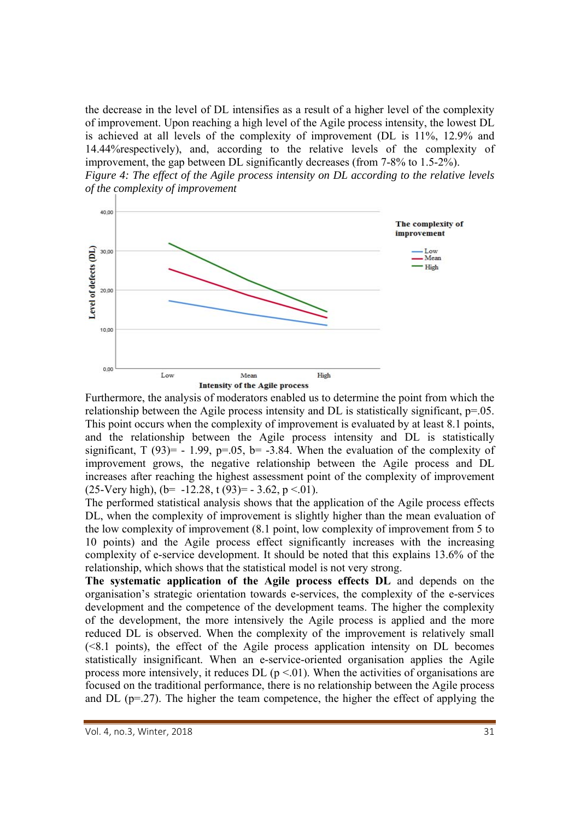the decrease in the level of DL intensifies as a result of a higher level of the complexity of improvement. Upon reaching a high level of the Agile process intensity, the lowest DL is achieved at all levels of the complexity of improvement (DL is 11%, 12.9% and 14.44%respectively), and, according to the relative levels of the complexity of improvement, the gap between DL significantly decreases (from 7-8% to 1.5-2%).





Furthermore, the analysis of moderators enabled us to determine the point from which the relationship between the Agile process intensity and DL is statistically significant,  $p=0.05$ . This point occurs when the complexity of improvement is evaluated by at least 8.1 points, and the relationship between the Agile process intensity and DL is statistically significant,  $T(93) = -1.99$ ,  $p=0.05$ ,  $b = -3.84$ . When the evaluation of the complexity of improvement grows, the negative relationship between the Agile process and DL increases after reaching the highest assessment point of the complexity of improvement  $(25\text{-}Very high)$ ,  $(b=-12.28, t(93)=-3.62, p<0.01)$ .

The performed statistical analysis shows that the application of the Agile process effects DL, when the complexity of improvement is slightly higher than the mean evaluation of the low complexity of improvement (8.1 point, low complexity of improvement from 5 to 10 points) and the Agile process effect significantly increases with the increasing complexity of e-service development. It should be noted that this explains 13.6% of the relationship, which shows that the statistical model is not very strong.

**The systematic application of the Agile process effects DL** and depends on the organisation's strategic orientation towards e-services, the complexity of the e-services development and the competence of the development teams. The higher the complexity of the development, the more intensively the Agile process is applied and the more reduced DL is observed. When the complexity of the improvement is relatively small (<8.1 points), the effect of the Agile process application intensity on DL becomes statistically insignificant. When an e-service-oriented organisation applies the Agile process more intensively, it reduces DL  $(p \le 0.01)$ . When the activities of organisations are focused on the traditional performance, there is no relationship between the Agile process and DL (p=.27). The higher the team competence, the higher the effect of applying the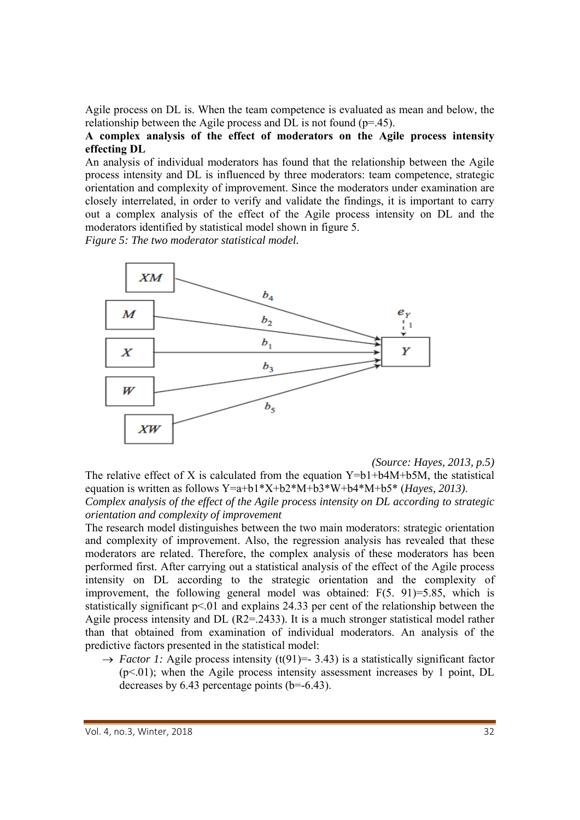Agile process on DL is. When the team competence is evaluated as mean and below, the relationship between the Agile process and  $\overline{DL}$  is not found (p=.45).

### **A complex analysis of the effect of moderators on the Agile process intensity effecting DL**

An analysis of individual moderators has found that the relationship between the Agile process intensity and DL is influenced by three moderators: team competence, strategic orientation and complexity of improvement. Since the moderators under examination are closely interrelated, in order to verify and validate the findings, it is important to carry out a complex analysis of the effect of the Agile process intensity on DL and the moderators identified by statistical model shown in figure 5.

*Figure 5: The two moderator statistical model.* 



*(Source: Hayes, 2013, p.5)* 

The relative effect of X is calculated from the equation  $Y=b1+b4M+b5M$ , the statistical equation is written as follows Y=a+b1\*X+b2\*M+b3\*W+b4\*M+b5\* (*Hayes, 2013)*. *Complex analysis of the effect of the Agile process intensity on DL according to strategic orientation and complexity of improvement* 

The research model distinguishes between the two main moderators: strategic orientation and complexity of improvement. Also, the regression analysis has revealed that these moderators are related. Therefore, the complex analysis of these moderators has been performed first. After carrying out a statistical analysis of the effect of the Agile process intensity on DL according to the strategic orientation and the complexity of improvement, the following general model was obtained: F(5. 91)=5.85, which is statistically significant  $p \le 01$  and explains 24.33 per cent of the relationship between the Agile process intensity and DL (R2=.2433). It is a much stronger statistical model rather than that obtained from examination of individual moderators. An analysis of the predictive factors presented in the statistical model:

 $\rightarrow$  *Factor 1:* Agile process intensity (t(91)= 3.43) is a statistically significant factor  $(p<.01)$ ; when the Agile process intensity assessment increases by 1 point, DL decreases by 6.43 percentage points (b=-6.43).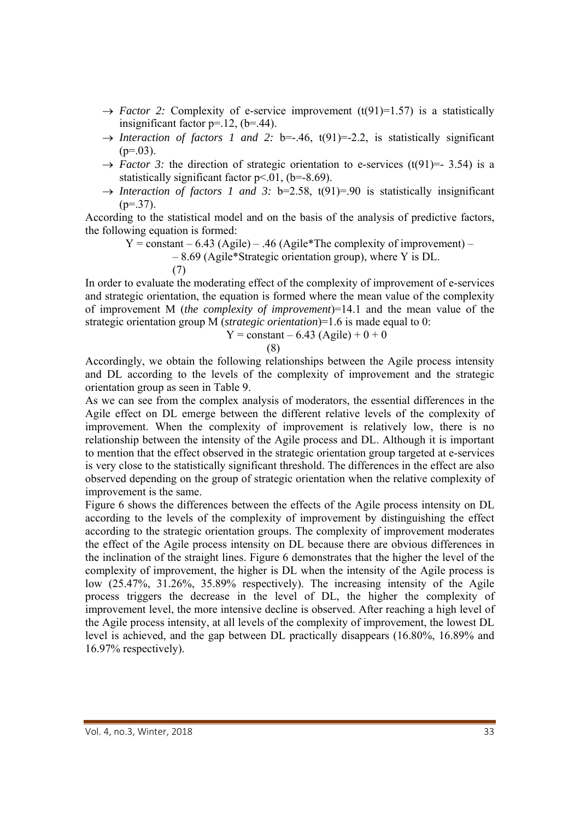- $\rightarrow$  *Factor 2:* Complexity of e-service improvement (t(91)=1.57) is a statistically insignificant factor  $p=12$ ,  $(b=44)$ .
- $\rightarrow$  *Interaction of factors 1 and 2: b*=-.46, t(91)=-2.2, is statistically significant  $(p=.03)$ .
- $\rightarrow$  *Factor 3:* the direction of strategic orientation to e-services (t(91)=- 3.54) is a statistically significant factor  $p<0.01$ , (b=-8.69).
- $\rightarrow$  *Interaction of factors 1 and 3:* b=2.58, t(91)=.90 is statistically insignificant  $(p=37)$ .

According to the statistical model and on the basis of the analysis of predictive factors, the following equation is formed:

 $Y =$ constant – 6.43 (Agile) – .46 (Agile\*The complexity of improvement) –

– 8.69 (Agile\*Strategic orientation group), where Y is DL.

(7)

In order to evaluate the moderating effect of the complexity of improvement of e-services and strategic orientation, the equation is formed where the mean value of the complexity of improvement M (*the complexity of improvement*)=14.1 and the mean value of the strategic orientation group M (*strategic orientation*)=1.6 is made equal to 0:

$$
Y =
$$
 constant – 6.43 (Agile) + 0 + 0

(8)

Accordingly, we obtain the following relationships between the Agile process intensity and DL according to the levels of the complexity of improvement and the strategic orientation group as seen in Table 9.

As we can see from the complex analysis of moderators, the essential differences in the Agile effect on DL emerge between the different relative levels of the complexity of improvement. When the complexity of improvement is relatively low, there is no relationship between the intensity of the Agile process and DL. Although it is important to mention that the effect observed in the strategic orientation group targeted at e-services is very close to the statistically significant threshold. The differences in the effect are also observed depending on the group of strategic orientation when the relative complexity of improvement is the same.

Figure 6 shows the differences between the effects of the Agile process intensity on DL according to the levels of the complexity of improvement by distinguishing the effect according to the strategic orientation groups. The complexity of improvement moderates the effect of the Agile process intensity on DL because there are obvious differences in the inclination of the straight lines. Figure 6 demonstrates that the higher the level of the complexity of improvement, the higher is DL when the intensity of the Agile process is low (25.47%, 31.26%, 35.89% respectively). The increasing intensity of the Agile process triggers the decrease in the level of DL, the higher the complexity of improvement level, the more intensive decline is observed. After reaching a high level of the Agile process intensity, at all levels of the complexity of improvement, the lowest DL level is achieved, and the gap between DL practically disappears (16.80%, 16.89% and 16.97% respectively).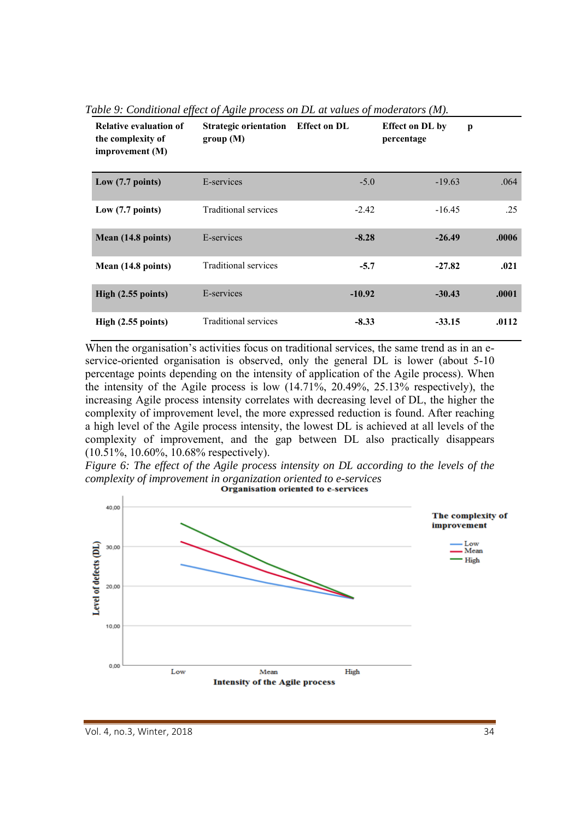| <b>Relative evaluation of</b><br>the complexity of<br>improvement (M) | <b>Strategic orientation</b> Effect on DL<br>group(M) |          | <b>Effect on DL by</b><br>percentage | p     |
|-----------------------------------------------------------------------|-------------------------------------------------------|----------|--------------------------------------|-------|
| Low $(7.7 \text{ points})$                                            | E-services                                            | $-5.0$   | $-19.63$                             | .064  |
| Low (7.7 points)                                                      | Traditional services                                  | $-2.42$  | $-16.45$                             | .25   |
| Mean (14.8 points)                                                    | E-services                                            | $-8.28$  | $-26.49$                             | .0006 |
| Mean (14.8 points)                                                    | Traditional services                                  | $-5.7$   | $-27.82$                             | .021  |
| High (2.55 points)                                                    | E-services                                            | $-10.92$ | $-30.43$                             | .0001 |
| High (2.55 points)                                                    | Traditional services                                  | $-8.33$  | $-33.15$                             | .0112 |

*Table 9: Conditional effect of Agile process on DL at values of moderators (M).* 

When the organisation's activities focus on traditional services, the same trend as in an eservice-oriented organisation is observed, only the general DL is lower (about 5-10 percentage points depending on the intensity of application of the Agile process). When the intensity of the Agile process is low (14.71%, 20.49%, 25.13% respectively), the increasing Agile process intensity correlates with decreasing level of DL, the higher the complexity of improvement level, the more expressed reduction is found. After reaching a high level of the Agile process intensity, the lowest DL is achieved at all levels of the complexity of improvement, and the gap between DL also practically disappears (10.51%, 10.60%, 10.68% respectively).

*Figure 6: The effect of the Agile process intensity on DL according to the levels of the complexity of improvement in organization oriented to e-services* 

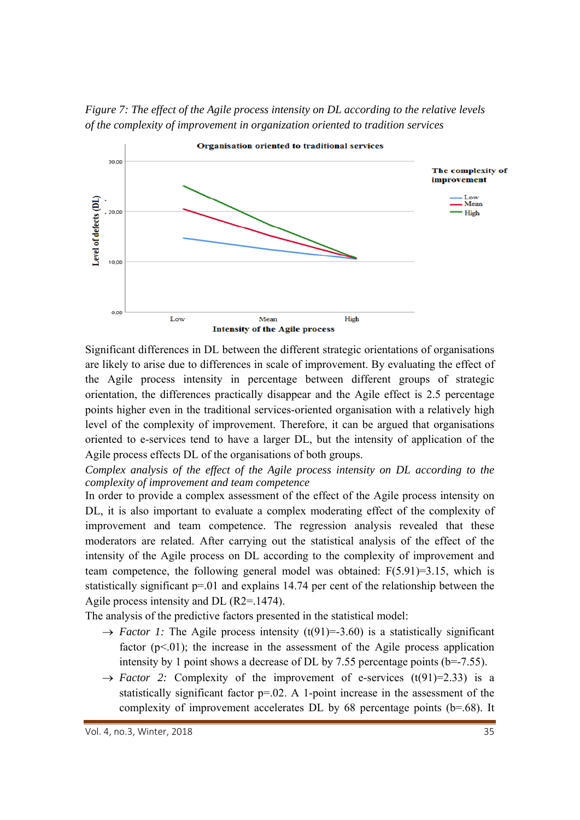*Figure 7: The effect of the Agile process intensity on DL according to the relative levels of the complexity of improvement in organization oriented to tradition services* 



Significant differences in DL between the different strategic orientations of organisations are likely to arise due to differences in scale of improvement. By evaluating the effect of the Agile process intensity in percentage between different groups of strategic orientation, the differences practically disappear and the Agile effect is 2.5 percentage points higher even in the traditional services-oriented organisation with a relatively high level of the complexity of improvement. Therefore, it can be argued that organisations oriented to e-services tend to have a larger DL, but the intensity of application of the Agile process effects DL of the organisations of both groups.

*Complex analysis of the effect of the Agile process intensity on DL according to the complexity of improvement and team competence* 

In order to provide a complex assessment of the effect of the Agile process intensity on DL, it is also important to evaluate a complex moderating effect of the complexity of improvement and team competence. The regression analysis revealed that these moderators are related. After carrying out the statistical analysis of the effect of the intensity of the Agile process on DL according to the complexity of improvement and team competence, the following general model was obtained: F(5.91)=3.15, which is statistically significant p=.01 and explains 14.74 per cent of the relationship between the Agile process intensity and DL (R2=.1474).

The analysis of the predictive factors presented in the statistical model:

- $\rightarrow$  *Factor 1:* The Agile process intensity (t(91)=-3.60) is a statistically significant factor  $(p<0.01)$ ; the increase in the assessment of the Agile process application intensity by 1 point shows a decrease of DL by 7.55 percentage points (b=-7.55).
- $\rightarrow$  *Factor* 2: Complexity of the improvement of e-services (t(91)=2.33) is a statistically significant factor  $p=0.02$ . A 1-point increase in the assessment of the complexity of improvement accelerates DL by 68 percentage points (b=.68). It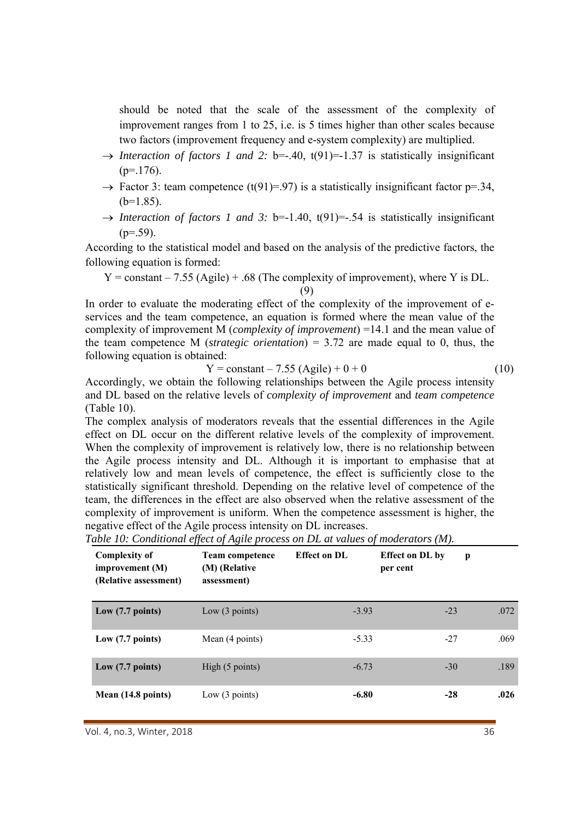should be noted that the scale of the assessment of the complexity of improvement ranges from 1 to 25, i.e. is 5 times higher than other scales because two factors (improvement frequency and e-system complexity) are multiplied.

- $\rightarrow$  *Interaction of factors 1 and 2:* b=-.40, t(91)=-1.37 is statistically insignificant  $(p=176)$ .
- $\rightarrow$  Factor 3: team competence (t(91)=.97) is a statistically insignificant factor p=.34,  $(b=1.85)$ .
- $\rightarrow$  *Interaction of factors 1 and 3:* b=-1.40, t(91)=-.54 is statistically insignificant  $(p=0.59)$ .

According to the statistical model and based on the analysis of the predictive factors, the following equation is formed:

 $Y = constant - 7.55$  (Agile) + .68 (The complexity of improvement), where Y is DL. (9)

In order to evaluate the moderating effect of the complexity of the improvement of eservices and the team competence, an equation is formed where the mean value of the complexity of improvement M (*complexity of improvement*) =14.1 and the mean value of the team competence M (*strategic orientation*) = 3.72 are made equal to 0, thus, the following equation is obtained:

$$
Y = constant - 7.55 (Agile) + 0 + 0
$$
 (10)

Accordingly, we obtain the following relationships between the Agile process intensity and DL based on the relative levels of *complexity of improvement* and *team competence* (Table 10).

The complex analysis of moderators reveals that the essential differences in the Agile effect on DL occur on the different relative levels of the complexity of improvement. When the complexity of improvement is relatively low, there is no relationship between the Agile process intensity and DL. Although it is important to emphasise that at relatively low and mean levels of competence, the effect is sufficiently close to the statistically significant threshold. Depending on the relative level of competence of the team, the differences in the effect are also observed when the relative assessment of the complexity of improvement is uniform. When the competence assessment is higher, the negative effect of the Agile process intensity on DL increases.

| Table 10: Conditional effect of Agile process on DL at values of moderators (M). |  |  |  |  |  |  |  |  |  |  |  |  |  |
|----------------------------------------------------------------------------------|--|--|--|--|--|--|--|--|--|--|--|--|--|
|----------------------------------------------------------------------------------|--|--|--|--|--|--|--|--|--|--|--|--|--|

| <b>Complexity of</b><br>improvement $(M)$<br>(Relative assessment) | <b>Team competence</b><br>(M) (Relative<br>assessment) | <b>Effect on DL</b> | <b>Effect on DL by</b><br>per cent | p    |
|--------------------------------------------------------------------|--------------------------------------------------------|---------------------|------------------------------------|------|
| Low (7.7 points)                                                   | Low $(3 \text{ points})$                               | $-3.93$             | $-23$                              | .072 |
| Low (7.7 points)                                                   | Mean (4 points)                                        | $-5.33$             | $-27$                              | .069 |
| Low (7.7 points)                                                   | High (5 points)                                        | $-6.73$             | $-30$                              | .189 |
| Mean (14.8 points)                                                 | Low $(3 \text{ points})$                               | $-6.80$             | $-28$                              | .026 |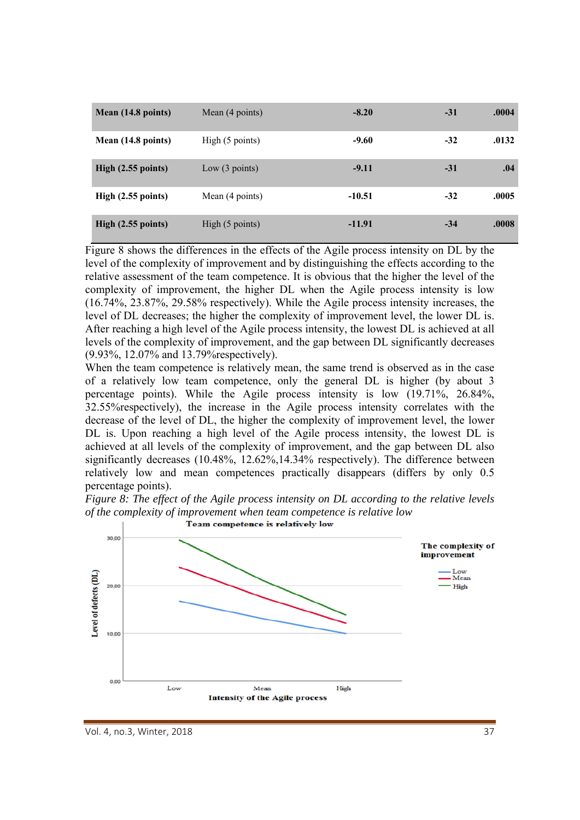| Mean (14.8 points) | Mean (4 points)          | $-8.20$  | $-31$ | .0004 |
|--------------------|--------------------------|----------|-------|-------|
| Mean (14.8 points) | High (5 points)          | $-9.60$  | $-32$ | .0132 |
| High (2.55 points) | Low $(3 \text{ points})$ | $-9.11$  | $-31$ | .04   |
| High (2.55 points) | Mean (4 points)          | $-10.51$ | $-32$ | .0005 |
| High (2.55 points) | High (5 points)          | $-11.91$ | $-34$ | .0008 |

Figure 8 shows the differences in the effects of the Agile process intensity on DL by the level of the complexity of improvement and by distinguishing the effects according to the relative assessment of the team competence. It is obvious that the higher the level of the complexity of improvement, the higher DL when the Agile process intensity is low (16.74%, 23.87%, 29.58% respectively). While the Agile process intensity increases, the level of DL decreases; the higher the complexity of improvement level, the lower DL is. After reaching a high level of the Agile process intensity, the lowest DL is achieved at all levels of the complexity of improvement, and the gap between DL significantly decreases (9.93%, 12.07% and 13.79%respectively).

When the team competence is relatively mean, the same trend is observed as in the case of a relatively low team competence, only the general DL is higher (by about 3 percentage points). While the Agile process intensity is low (19.71%, 26.84%, 32.55%respectively), the increase in the Agile process intensity correlates with the decrease of the level of DL, the higher the complexity of improvement level, the lower DL is. Upon reaching a high level of the Agile process intensity, the lowest DL is achieved at all levels of the complexity of improvement, and the gap between DL also significantly decreases (10.48%, 12.62%,14.34% respectively). The difference between relatively low and mean competences practically disappears (differs by only 0.5 percentage points).





Vol. 4, no.3, Winter, 2018 37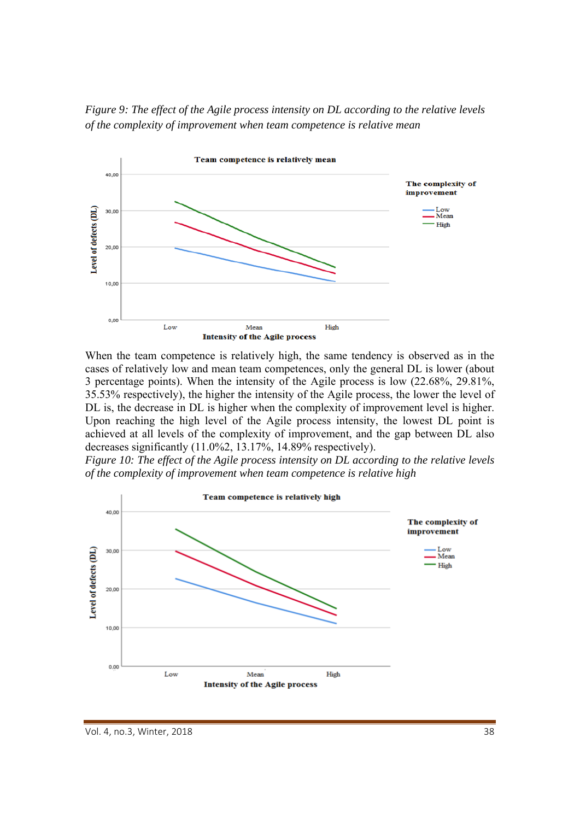*Figure 9: The effect of the Agile process intensity on DL according to the relative levels of the complexity of improvement when team competence is relative mean* 



When the team competence is relatively high, the same tendency is observed as in the cases of relatively low and mean team competences, only the general DL is lower (about 3 percentage points). When the intensity of the Agile process is low (22.68%, 29.81%, 35.53% respectively), the higher the intensity of the Agile process, the lower the level of DL is, the decrease in DL is higher when the complexity of improvement level is higher. Upon reaching the high level of the Agile process intensity, the lowest DL point is achieved at all levels of the complexity of improvement, and the gap between DL also decreases significantly (11.0%2, 13.17%, 14.89% respectively).

*Figure 10: The effect of the Agile process intensity on DL according to the relative levels of the complexity of improvement when team competence is relative high* 

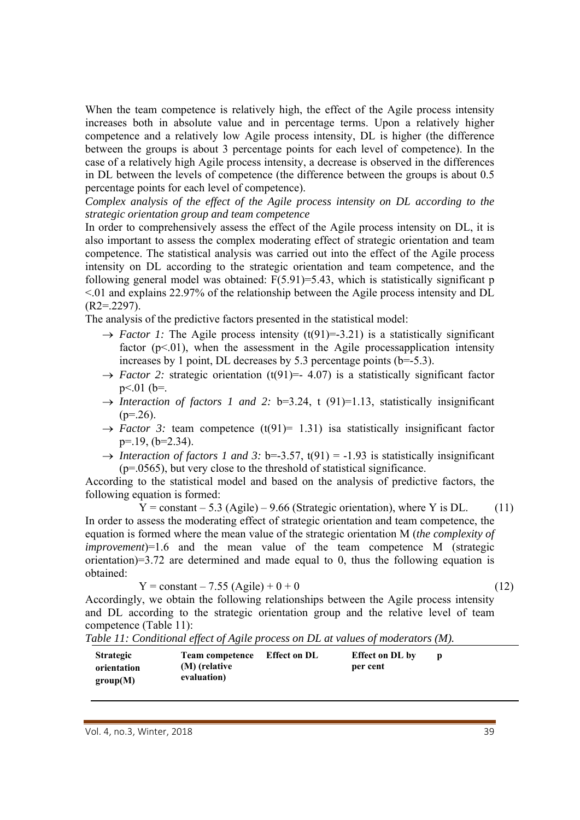When the team competence is relatively high, the effect of the Agile process intensity increases both in absolute value and in percentage terms. Upon a relatively higher competence and a relatively low Agile process intensity, DL is higher (the difference between the groups is about 3 percentage points for each level of competence). In the case of a relatively high Agile process intensity, a decrease is observed in the differences in DL between the levels of competence (the difference between the groups is about 0.5 percentage points for each level of competence).

*Complex analysis of the effect of the Agile process intensity on DL according to the strategic orientation group and team competence* 

In order to comprehensively assess the effect of the Agile process intensity on DL, it is also important to assess the complex moderating effect of strategic orientation and team competence. The statistical analysis was carried out into the effect of the Agile process intensity on DL according to the strategic orientation and team competence, and the following general model was obtained:  $F(5.91)=5.43$ , which is statistically significant p <.01 and explains 22.97% of the relationship between the Agile process intensity and DL  $(R2=.2297)$ .

The analysis of the predictive factors presented in the statistical model:

- $\rightarrow$  *Factor 1:* The Agile process intensity (t(91)=-3.21) is a statistically significant factor  $(p<0.01)$ , when the assessment in the Agile processapplication intensity increases by 1 point, DL decreases by 5.3 percentage points  $(b=5.3)$ .
- $\rightarrow$  *Factor 2:* strategic orientation (t(91)=- 4.07) is a statistically significant factor  $p<.01$  ( $b=$ .
- $\rightarrow$  *Interaction of factors 1 and 2:* b=3.24, t (91)=1.13, statistically insignificant  $(p=.26)$ .
- $\rightarrow$  *Factor 3:* team competence (t(91)= 1.31) is astatistically insignificant factor p=.19, (b=2.34).
- $\rightarrow$  *Interaction of factors 1 and 3:* b=-3.57, t(91) = -1.93 is statistically insignificant  $(p=0.0565)$ , but very close to the threshold of statistical significance.

According to the statistical model and based on the analysis of predictive factors, the following equation is formed:

 $\overline{Y}$  = constant – 5.3 (Agile) – 9.66 (Strategic orientation), where Y is DL. (11) In order to assess the moderating effect of strategic orientation and team competence, the equation is formed where the mean value of the strategic orientation M (*the complexity of improvement*)=1.6 and the mean value of the team competence M (strategic orientation)=3.72 are determined and made equal to 0, thus the following equation is obtained:

$$
Y = constant - 7.55 (Agile) + 0 + 0
$$
 (12)

Accordingly, we obtain the following relationships between the Agile process intensity and DL according to the strategic orientation group and the relative level of team competence (Table 11):

| Table 11: Conditional effect of Agile process on DL at values of moderators (M). |
|----------------------------------------------------------------------------------|
|----------------------------------------------------------------------------------|

| <b>Strategic</b> | <b>Team competence</b> | Effect on DL | <b>Effect on DL by</b> |  |
|------------------|------------------------|--------------|------------------------|--|
| orientation      | (M) (relative          |              | per cent               |  |
| group(M)         | evaluation)            |              |                        |  |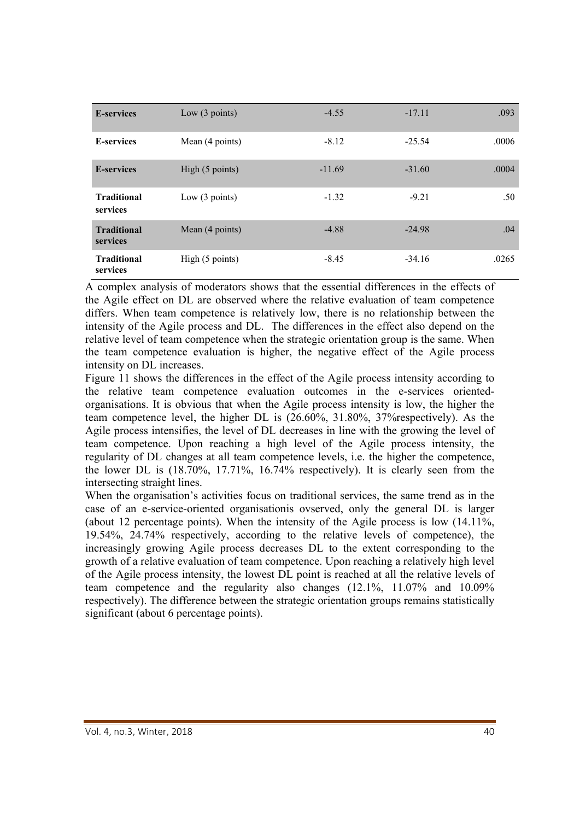| <b>E-services</b>              | Low $(3 \text{ points})$ | $-4.55$  | $-17.11$ | .093  |
|--------------------------------|--------------------------|----------|----------|-------|
| <b>E-services</b>              | Mean (4 points)          | $-8.12$  | $-25.54$ | .0006 |
| <b>E-services</b>              | High (5 points)          | $-11.69$ | $-31.60$ | .0004 |
| <b>Traditional</b><br>services | Low $(3 \text{ points})$ | $-1.32$  | $-9.21$  | .50   |
| <b>Traditional</b><br>services | Mean (4 points)          | $-4.88$  | $-24.98$ | .04   |
| <b>Traditional</b><br>services | High (5 points)          | $-8.45$  | $-34.16$ | .0265 |

A complex analysis of moderators shows that the essential differences in the effects of the Agile effect on DL are observed where the relative evaluation of team competence differs. When team competence is relatively low, there is no relationship between the intensity of the Agile process and DL. The differences in the effect also depend on the relative level of team competence when the strategic orientation group is the same. When the team competence evaluation is higher, the negative effect of the Agile process intensity on DL increases.

Figure 11 shows the differences in the effect of the Agile process intensity according to the relative team competence evaluation outcomes in the e-services orientedorganisations. It is obvious that when the Agile process intensity is low, the higher the team competence level, the higher DL is (26.60%, 31.80%, 37%respectively). As the Agile process intensifies, the level of DL decreases in line with the growing the level of team competence. Upon reaching a high level of the Agile process intensity, the regularity of DL changes at all team competence levels, i.e. the higher the competence, the lower DL is (18.70%, 17.71%, 16.74% respectively). It is clearly seen from the intersecting straight lines.

When the organisation's activities focus on traditional services, the same trend as in the case of an e-service-oriented organisationis ovserved, only the general DL is larger (about 12 percentage points). When the intensity of the Agile process is low (14.11%, 19.54%, 24.74% respectively, according to the relative levels of competence), the increasingly growing Agile process decreases DL to the extent corresponding to the growth of a relative evaluation of team competence. Upon reaching a relatively high level of the Agile process intensity, the lowest DL point is reached at all the relative levels of team competence and the regularity also changes (12.1%, 11.07% and 10.09% respectively). The difference between the strategic orientation groups remains statistically significant (about 6 percentage points).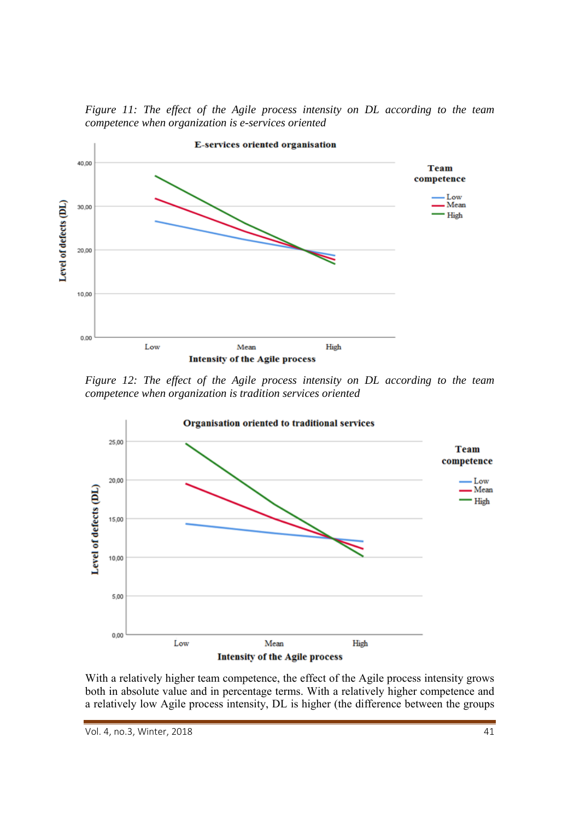*Figure 11: The effect of the Agile process intensity on DL according to the team competence when organization is e-services oriented*



*Figure 12: The effect of the Agile process intensity on DL according to the team competence when organization is tradition services oriented* 



With a relatively higher team competence, the effect of the Agile process intensity grows both in absolute value and in percentage terms. With a relatively higher competence and a relatively low Agile process intensity, DL is higher (the difference between the groups

Vol. 4, no.3, Winter, 2018  **41**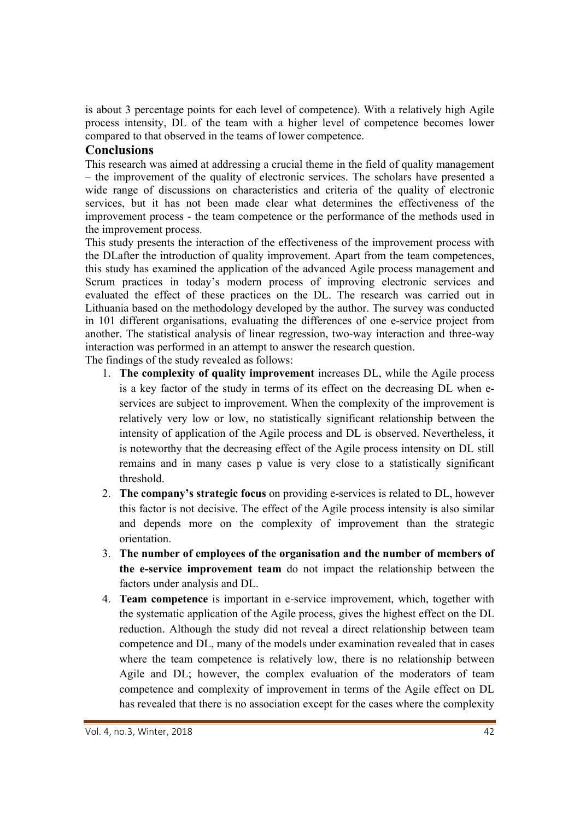is about 3 percentage points for each level of competence). With a relatively high Agile process intensity, DL of the team with a higher level of competence becomes lower compared to that observed in the teams of lower competence.

## **Conclusions**

This research was aimed at addressing a crucial theme in the field of quality management – the improvement of the quality of electronic services. The scholars have presented a wide range of discussions on characteristics and criteria of the quality of electronic services, but it has not been made clear what determines the effectiveness of the improvement process - the team competence or the performance of the methods used in the improvement process.

This study presents the interaction of the effectiveness of the improvement process with the DLafter the introduction of quality improvement. Apart from the team competences, this study has examined the application of the advanced Agile process management and Scrum practices in today's modern process of improving electronic services and evaluated the effect of these practices on the DL. The research was carried out in Lithuania based on the methodology developed by the author. The survey was conducted in 101 different organisations, evaluating the differences of one e-service project from another. The statistical analysis of linear regression, two-way interaction and three-way interaction was performed in an attempt to answer the research question.

The findings of the study revealed as follows:

- 1. **The complexity of quality improvement** increases DL, while the Agile process is a key factor of the study in terms of its effect on the decreasing DL when eservices are subject to improvement. When the complexity of the improvement is relatively very low or low, no statistically significant relationship between the intensity of application of the Agile process and DL is observed. Nevertheless, it is noteworthy that the decreasing effect of the Agile process intensity on DL still remains and in many cases p value is very close to a statistically significant threshold.
- 2. **The company's strategic focus** on providing e-services is related to DL, however this factor is not decisive. The effect of the Agile process intensity is also similar and depends more on the complexity of improvement than the strategic orientation.
- 3. **The number of employees of the organisation and the number of members of the e-service improvement team** do not impact the relationship between the factors under analysis and DL.
- 4. **Team competence** is important in e-service improvement, which, together with the systematic application of the Agile process, gives the highest effect on the DL reduction. Although the study did not reveal a direct relationship between team competence and DL, many of the models under examination revealed that in cases where the team competence is relatively low, there is no relationship between Agile and DL; however, the complex evaluation of the moderators of team competence and complexity of improvement in terms of the Agile effect on DL has revealed that there is no association except for the cases where the complexity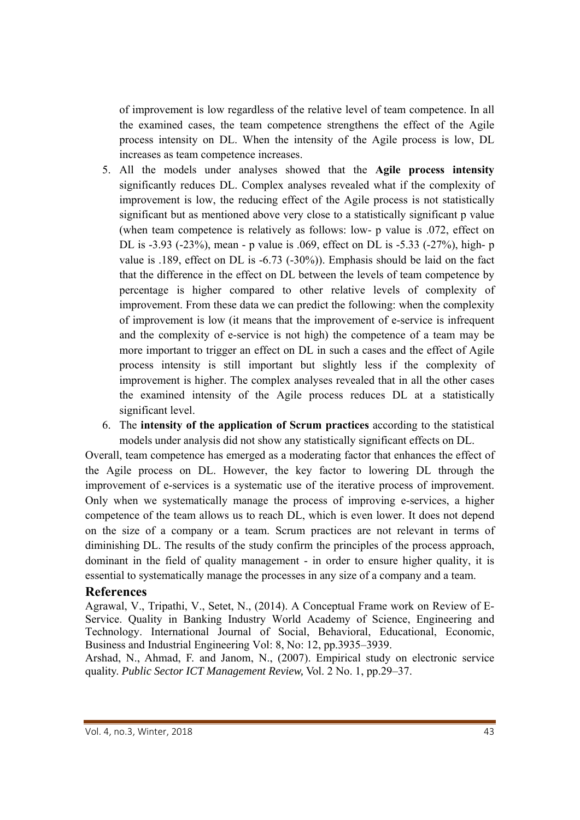of improvement is low regardless of the relative level of team competence. In all the examined cases, the team competence strengthens the effect of the Agile process intensity on DL. When the intensity of the Agile process is low, DL increases as team competence increases.

- 5. All the models under analyses showed that the **Agile process intensity** significantly reduces DL. Complex analyses revealed what if the complexity of improvement is low, the reducing effect of the Agile process is not statistically significant but as mentioned above very close to a statistically significant p value (when team competence is relatively as follows: low- p value is .072, effect on DL is -3.93 (-23%), mean - p value is .069, effect on DL is -5.33 (-27%), high- p value is .189, effect on DL is -6.73 (-30%)). Emphasis should be laid on the fact that the difference in the effect on DL between the levels of team competence by percentage is higher compared to other relative levels of complexity of improvement. From these data we can predict the following: when the complexity of improvement is low (it means that the improvement of e-service is infrequent and the complexity of e-service is not high) the competence of a team may be more important to trigger an effect on DL in such a cases and the effect of Agile process intensity is still important but slightly less if the complexity of improvement is higher. The complex analyses revealed that in all the other cases the examined intensity of the Agile process reduces DL at a statistically significant level.
- 6. The **intensity of the application of Scrum practices** according to the statistical models under analysis did not show any statistically significant effects on DL.

Overall, team competence has emerged as a moderating factor that enhances the effect of the Agile process on DL. However, the key factor to lowering DL through the improvement of e-services is a systematic use of the iterative process of improvement. Only when we systematically manage the process of improving e-services, a higher competence of the team allows us to reach DL, which is even lower. It does not depend on the size of a company or a team. Scrum practices are not relevant in terms of diminishing DL. The results of the study confirm the principles of the process approach, dominant in the field of quality management - in order to ensure higher quality, it is essential to systematically manage the processes in any size of a company and a team.

#### **References**

Agrawal, V., Tripathi, V., Setet, N., (2014). A Conceptual Frame work on Review of E-Service. Quality in Banking Industry World Academy of Science, Engineering and Technology. International Journal of Social, Behavioral, Educational, Economic, Business and Industrial Engineering Vol: 8, No: 12, pp.3935–3939.

Arshad, N., Ahmad, F. and Janom, N., (2007). Empirical study on electronic service quality. *Public Sector ICT Management Review,* Vol. 2 No. 1, pp.29–37.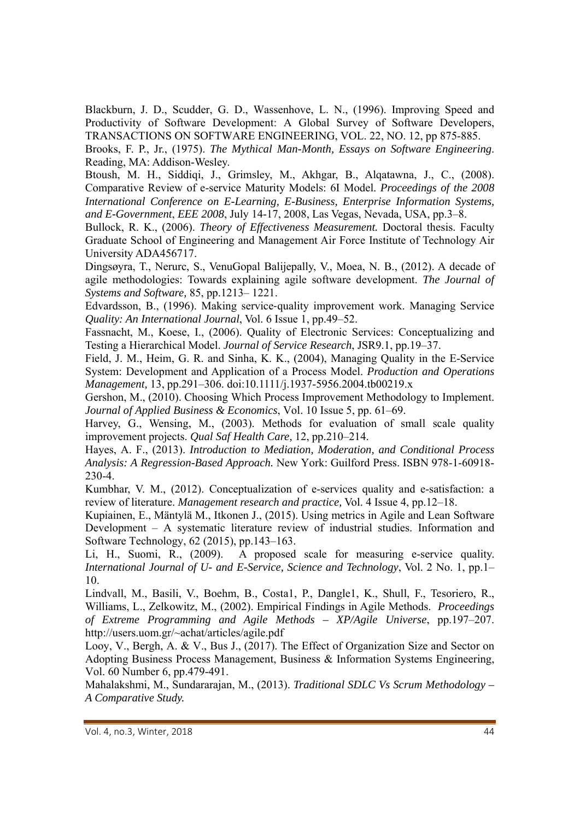Blackburn, J. D., Scudder, G. D., Wassenhove, L. N., (1996). Improving Speed and Productivity of Software Development: A Global Survey of Software Developers, TRANSACTIONS ON SOFTWARE ENGINEERING, VOL. 22, NO. 12, pp 875-885.

Brooks, F. P., Jr., (1975). *The Mythical Man-Month, Essays on Software Engineering*. Reading, MA: Addison-Wesley.

Btoush, M. H., Siddiqi, J., Grimsley, M., Akhgar, B., Alqatawna, J., C., (2008). Comparative Review of e-service Maturity Models: 6I Model. *Proceedings of the 2008 International Conference on E-Learning, E-Business, Enterprise Information Systems, and E-Government*, *EEE 2008*, July 14-17, 2008, Las Vegas, Nevada, USA, pp.3–8.

Bullock, R. K., (2006). *Theory of Effectiveness Measurement.* Doctoral thesis. Faculty Graduate School of Engineering and Management Air Force Institute of Technology Air University ADA456717.

Dingsøyra, T., Nerurc, S., VenuGopal Balijepally, V., Moea, N. B., (2012). A decade of agile methodologies: Towards explaining agile software development. *The Journal of Systems and Software,* 85, pp.1213– 1221.

Edvardsson, B., (1996). Making service-quality improvement work. Managing Service *Quality: An International Journal*, Vol. 6 Issue 1, pp.49–52.

Fassnacht, M., Koese, I., (2006). Quality of Electronic Services: Conceptualizing and Testing a Hierarchical Model. *Journal of Service Research*, JSR9.1, pp.19–37.

Field, J. M., Heim, G. R. and Sinha, K. K., (2004), Managing Quality in the E-Service System: Development and Application of a Process Model. *Production and Operations Management,* 13, pp.291–306. doi:10.1111/j.1937-5956.2004.tb00219.x

Gershon, M., (2010). Choosing Which Process Improvement Methodology to Implement. *Journal of Applied Business & Economics*, Vol. 10 Issue 5, pp. 61–69.

Harvey, G., Wensing, M., (2003). Methods for evaluation of small scale quality improvement projects. *Qual Saf Health Care,* 12, pp.210–214.

Hayes, A. F., (2013). *Introduction to Mediation, Moderation, and Conditional Process Analysis: A Regression-Based Approach.* New York: Guilford Press. ISBN 978-1-60918- 230-4.

Kumbhar, V. M., (2012). Conceptualization of e-services quality and e-satisfaction: a review of literature. *Management research and practice,* Vol. 4 Issue 4, pp.12–18.

Kupiainen, E., Mäntylä M., Itkonen J., (2015). Using metrics in Agile and Lean Software Development – A systematic literature review of industrial studies. Information and Software Technology, 62 (2015), pp.143–163.

Li, H., Suomi, R., (2009). A proposed scale for measuring e-service quality. *International Journal of U- and E-Service, Science and Technology*, Vol. 2 No. 1, pp.1– 10.

Lindvall, M., Basili, V., Boehm, B., Costa1, P., Dangle1, K., Shull, F., Tesoriero, R., Williams, L., Zelkowitz, M., (2002). Empirical Findings in Agile Methods. *Proceedings of Extreme Programming and Agile Methods – XP/Agile Universe*, pp.197–207. http://users.uom.gr/~achat/articles/agile.pdf

Looy, V., Bergh, A. & V., Bus J., (2017). The Effect of Organization Size and Sector on Adopting Business Process Management, Business & Information Systems Engineering, Vol. 60 Number 6, pp.479-491.

Mahalakshmi, M., Sundararajan, M., (2013). *Traditional SDLC Vs Scrum Methodology – A Comparative Study.*